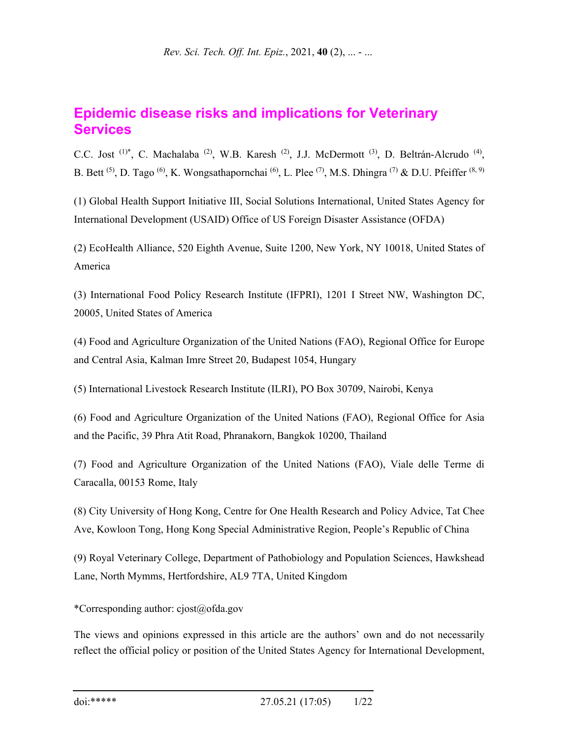# **Epidemic disease risks and implications for Veterinary Services**

C.C. Jost<sup>(1)\*</sup>, C. Machalaba<sup>(2)</sup>, W.B. Karesh<sup>(2)</sup>, J.J. McDermott<sup>(3)</sup>, D. Beltrán-Alcrudo<sup>(4)</sup>, B. Bett <sup>(5)</sup>, D. Tago <sup>(6)</sup>, K. Wongsathapornchai <sup>(6)</sup>, L. Plee <sup>(7)</sup>, M.S. Dhingra <sup>(7)</sup> & D.U. Pfeiffer <sup>(8, 9)</sup>

(1) Global Health Support Initiative III, Social Solutions International, United States Agency for International Development (USAID) Office of US Foreign Disaster Assistance (OFDA)

(2) EcoHealth Alliance, 520 Eighth Avenue, Suite 1200, New York, NY 10018, United States of America

(3) International Food Policy Research Institute (IFPRI), 1201 I Street NW, Washington DC, 20005, United States of America

(4) Food and Agriculture Organization of the United Nations (FAO), Regional Office for Europe and Central Asia, Kalman Imre Street 20, Budapest 1054, Hungary

(5) International Livestock Research Institute (ILRI), PO Box 30709, Nairobi, Kenya

(6) Food and Agriculture Organization of the United Nations (FAO), Regional Office for Asia and the Pacific, 39 Phra Atit Road, Phranakorn, Bangkok 10200, Thailand

(7) Food and Agriculture Organization of the United Nations (FAO), Viale delle Terme di Caracalla, 00153 Rome, Italy

(8) City University of Hong Kong, Centre for One Health Research and Policy Advice, Tat Chee Ave, Kowloon Tong, Hong Kong Special Administrative Region, People's Republic of China

(9) Royal Veterinary College, Department of Pathobiology and Population Sciences, Hawkshead Lane, North Mymms, Hertfordshire, AL9 7TA, United Kingdom

\*Corresponding author: cjost@ofda.gov

The views and opinions expressed in this article are the authors' own and do not necessarily reflect the official policy or position of the United States Agency for International Development,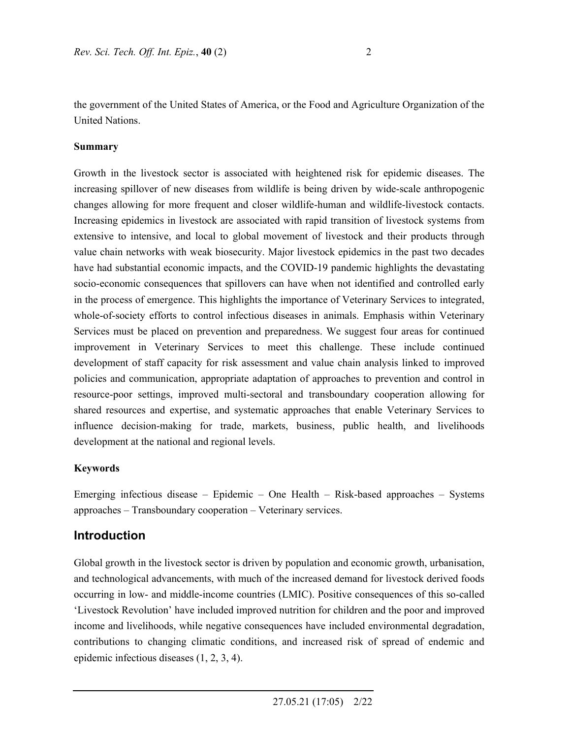the government of the United States of America, or the Food and Agriculture Organization of the United Nations.

#### **Summary**

Growth in the livestock sector is associated with heightened risk for epidemic diseases. The increasing spillover of new diseases from wildlife is being driven by wide-scale anthropogenic changes allowing for more frequent and closer wildlife-human and wildlife-livestock contacts. Increasing epidemics in livestock are associated with rapid transition of livestock systems from extensive to intensive, and local to global movement of livestock and their products through value chain networks with weak biosecurity. Major livestock epidemics in the past two decades have had substantial economic impacts, and the COVID-19 pandemic highlights the devastating socio-economic consequences that spillovers can have when not identified and controlled early in the process of emergence. This highlights the importance of Veterinary Services to integrated, whole-of-society efforts to control infectious diseases in animals. Emphasis within Veterinary Services must be placed on prevention and preparedness. We suggest four areas for continued improvement in Veterinary Services to meet this challenge. These include continued development of staff capacity for risk assessment and value chain analysis linked to improved policies and communication, appropriate adaptation of approaches to prevention and control in resource-poor settings, improved multi-sectoral and transboundary cooperation allowing for shared resources and expertise, and systematic approaches that enable Veterinary Services to influence decision-making for trade, markets, business, public health, and livelihoods development at the national and regional levels.

#### **Keywords**

Emerging infectious disease – Epidemic – One Health – Risk-based approaches – Systems approaches – Transboundary cooperation – Veterinary services.

### **Introduction**

Global growth in the livestock sector is driven by population and economic growth, urbanisation, and technological advancements, with much of the increased demand for livestock derived foods occurring in low- and middle-income countries (LMIC). Positive consequences of this so-called 'Livestock Revolution' have included improved nutrition for children and the poor and improved income and livelihoods, while negative consequences have included environmental degradation, contributions to changing climatic conditions, and increased risk of spread of endemic and epidemic infectious diseases (1, 2, 3, 4).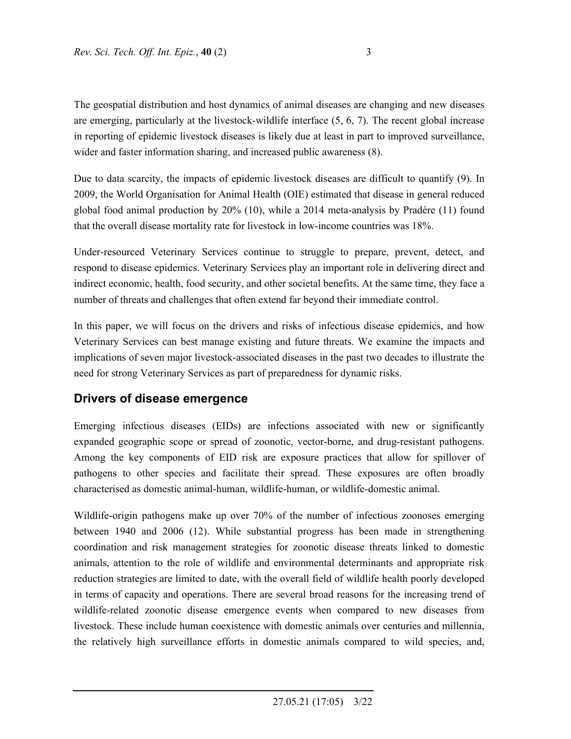The geospatial distribution and host dynamics of animal diseases are changing and new diseases are emerging, particularly at the livestock-wildlife interface (5, 6, 7). The recent global increase in reporting of epidemic livestock diseases is likely due at least in part to improved surveillance, wider and faster information sharing, and increased public awareness (8).

Due to data scarcity, the impacts of epidemic livestock diseases are difficult to quantify (9). In 2009, the World Organisation for Animal Health (OIE) estimated that disease in general reduced global food animal production by 20% (10), while a 2014 meta-analysis by Pradère (11) found that the overall disease mortality rate for livestock in low-income countries was 18%.

Under-resourced Veterinary Services continue to struggle to prepare, prevent, detect, and respond to disease epidemics. Veterinary Services play an important role in delivering direct and indirect economic, health, food security, and other societal benefits. At the same time, they face a number of threats and challenges that often extend far beyond their immediate control.

In this paper, we will focus on the drivers and risks of infectious disease epidemics, and how Veterinary Services can best manage existing and future threats. We examine the impacts and implications of seven major livestock-associated diseases in the past two decades to illustrate the need for strong Veterinary Services as part of preparedness for dynamic risks.

### **Drivers of disease emergence**

Emerging infectious diseases (EIDs) are infections associated with new or significantly expanded geographic scope or spread of zoonotic, vector-borne, and drug-resistant pathogens. Among the key components of EID risk are exposure practices that allow for spillover of pathogens to other species and facilitate their spread. These exposures are often broadly characterised as domestic animal-human, wildlife-human, or wildlife-domestic animal.

Wildlife-origin pathogens make up over 70% of the number of infectious zoonoses emerging between 1940 and 2006 (12). While substantial progress has been made in strengthening coordination and risk management strategies for zoonotic disease threats linked to domestic animals, attention to the role of wildlife and environmental determinants and appropriate risk reduction strategies are limited to date, with the overall field of wildlife health poorly developed in terms of capacity and operations. There are several broad reasons for the increasing trend of wildlife-related zoonotic disease emergence events when compared to new diseases from livestock. These include human coexistence with domestic animals over centuries and millennia, the relatively high surveillance efforts in domestic animals compared to wild species, and,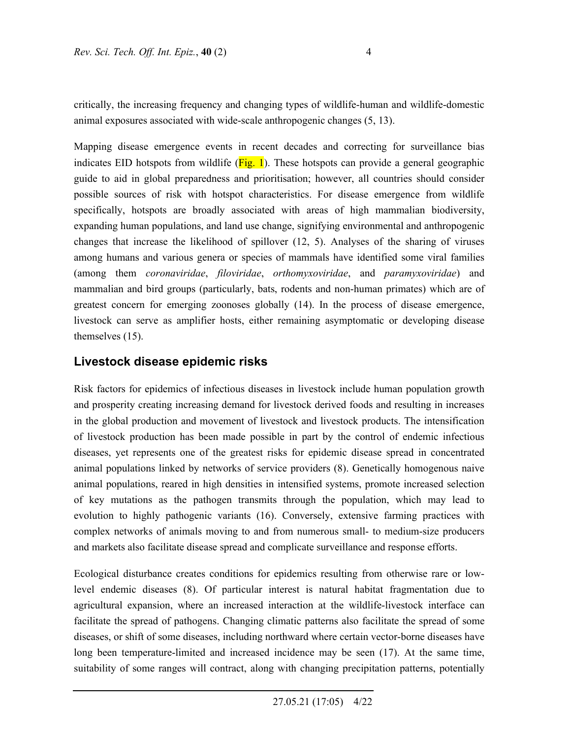critically, the increasing frequency and changing types of wildlife-human and wildlife-domestic animal exposures associated with wide-scale anthropogenic changes (5, 13).

Mapping disease emergence events in recent decades and correcting for surveillance bias indicates EID hotspots from wildlife  $(Fig, 1)$ . These hotspots can provide a general geographic guide to aid in global preparedness and prioritisation; however, all countries should consider possible sources of risk with hotspot characteristics. For disease emergence from wildlife specifically, hotspots are broadly associated with areas of high mammalian biodiversity, expanding human populations, and land use change, signifying environmental and anthropogenic changes that increase the likelihood of spillover (12, 5). Analyses of the sharing of viruses among humans and various genera or species of mammals have identified some viral families (among them *coronaviridae*, *filoviridae*, *orthomyxoviridae*, and *paramyxoviridae*) and mammalian and bird groups (particularly, bats, rodents and non-human primates) which are of greatest concern for emerging zoonoses globally (14). In the process of disease emergence, livestock can serve as amplifier hosts, either remaining asymptomatic or developing disease themselves (15).

### **Livestock disease epidemic risks**

Risk factors for epidemics of infectious diseases in livestock include human population growth and prosperity creating increasing demand for livestock derived foods and resulting in increases in the global production and movement of livestock and livestock products. The intensification of livestock production has been made possible in part by the control of endemic infectious diseases, yet represents one of the greatest risks for epidemic disease spread in concentrated animal populations linked by networks of service providers (8). Genetically homogenous naive animal populations, reared in high densities in intensified systems, promote increased selection of key mutations as the pathogen transmits through the population, which may lead to evolution to highly pathogenic variants (16). Conversely, extensive farming practices with complex networks of animals moving to and from numerous small- to medium-size producers and markets also facilitate disease spread and complicate surveillance and response efforts.

Ecological disturbance creates conditions for epidemics resulting from otherwise rare or lowlevel endemic diseases (8). Of particular interest is natural habitat fragmentation due to agricultural expansion, where an increased interaction at the wildlife-livestock interface can facilitate the spread of pathogens. Changing climatic patterns also facilitate the spread of some diseases, or shift of some diseases, including northward where certain vector-borne diseases have long been temperature-limited and increased incidence may be seen (17). At the same time, suitability of some ranges will contract, along with changing precipitation patterns, potentially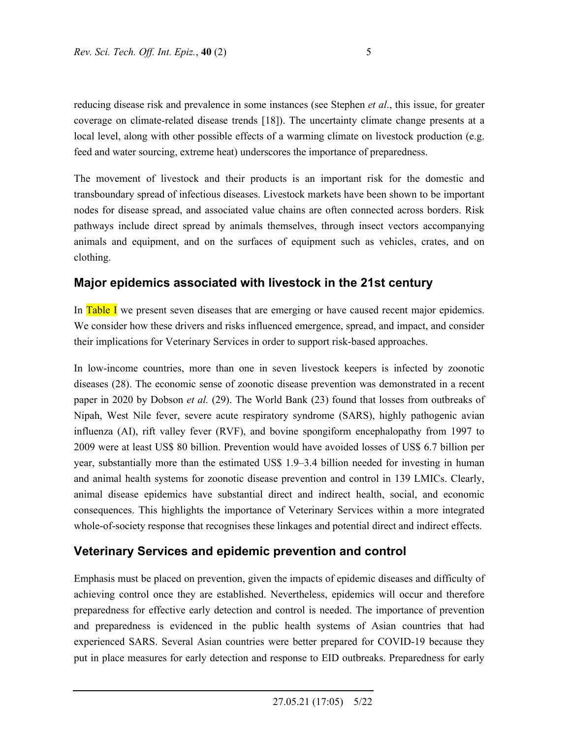reducing disease risk and prevalence in some instances (see Stephen *et al*., this issue, for greater coverage on climate-related disease trends [18]). The uncertainty climate change presents at a local level, along with other possible effects of a warming climate on livestock production (e.g. feed and water sourcing, extreme heat) underscores the importance of preparedness.

The movement of livestock and their products is an important risk for the domestic and transboundary spread of infectious diseases. Livestock markets have been shown to be important nodes for disease spread, and associated value chains are often connected across borders. Risk pathways include direct spread by animals themselves, through insect vectors accompanying animals and equipment, and on the surfaces of equipment such as vehicles, crates, and on clothing.

## **Major epidemics associated with livestock in the 21st century**

In Table I we present seven diseases that are emerging or have caused recent major epidemics. We consider how these drivers and risks influenced emergence, spread, and impact, and consider their implications for Veterinary Services in order to support risk-based approaches.

In low-income countries, more than one in seven livestock keepers is infected by zoonotic diseases (28). The economic sense of zoonotic disease prevention was demonstrated in a recent paper in 2020 by Dobson *et al.* (29). The World Bank (23) found that losses from outbreaks of Nipah, West Nile fever, severe acute respiratory syndrome (SARS), highly pathogenic avian influenza (AI), rift valley fever (RVF), and bovine spongiform encephalopathy from 1997 to 2009 were at least US\$ 80 billion. Prevention would have avoided losses of US\$ 6.7 billion per year, substantially more than the estimated US\$ 1.9–3.4 billion needed for investing in human and animal health systems for zoonotic disease prevention and control in 139 LMICs. Clearly, animal disease epidemics have substantial direct and indirect health, social, and economic consequences. This highlights the importance of Veterinary Services within a more integrated whole-of-society response that recognises these linkages and potential direct and indirect effects.

## **Veterinary Services and epidemic prevention and control**

Emphasis must be placed on prevention, given the impacts of epidemic diseases and difficulty of achieving control once they are established. Nevertheless, epidemics will occur and therefore preparedness for effective early detection and control is needed. The importance of prevention and preparedness is evidenced in the public health systems of Asian countries that had experienced SARS. Several Asian countries were better prepared for COVID-19 because they put in place measures for early detection and response to EID outbreaks. Preparedness for early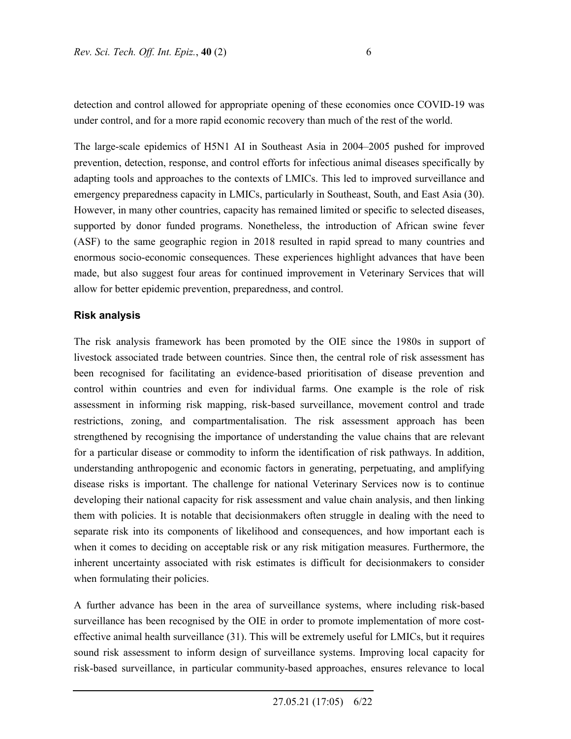detection and control allowed for appropriate opening of these economies once COVID-19 was under control, and for a more rapid economic recovery than much of the rest of the world.

The large-scale epidemics of H5N1 AI in Southeast Asia in 2004–2005 pushed for improved prevention, detection, response, and control efforts for infectious animal diseases specifically by adapting tools and approaches to the contexts of LMICs. This led to improved surveillance and emergency preparedness capacity in LMICs, particularly in Southeast, South, and East Asia (30). However, in many other countries, capacity has remained limited or specific to selected diseases, supported by donor funded programs. Nonetheless, the introduction of African swine fever (ASF) to the same geographic region in 2018 resulted in rapid spread to many countries and enormous socio-economic consequences. These experiences highlight advances that have been made, but also suggest four areas for continued improvement in Veterinary Services that will allow for better epidemic prevention, preparedness, and control.

#### **Risk analysis**

The risk analysis framework has been promoted by the OIE since the 1980s in support of livestock associated trade between countries. Since then, the central role of risk assessment has been recognised for facilitating an evidence-based prioritisation of disease prevention and control within countries and even for individual farms. One example is the role of risk assessment in informing risk mapping, risk-based surveillance, movement control and trade restrictions, zoning, and compartmentalisation. The risk assessment approach has been strengthened by recognising the importance of understanding the value chains that are relevant for a particular disease or commodity to inform the identification of risk pathways. In addition, understanding anthropogenic and economic factors in generating, perpetuating, and amplifying disease risks is important. The challenge for national Veterinary Services now is to continue developing their national capacity for risk assessment and value chain analysis, and then linking them with policies. It is notable that decisionmakers often struggle in dealing with the need to separate risk into its components of likelihood and consequences, and how important each is when it comes to deciding on acceptable risk or any risk mitigation measures. Furthermore, the inherent uncertainty associated with risk estimates is difficult for decisionmakers to consider when formulating their policies.

A further advance has been in the area of surveillance systems, where including risk-based surveillance has been recognised by the OIE in order to promote implementation of more costeffective animal health surveillance (31). This will be extremely useful for LMICs, but it requires sound risk assessment to inform design of surveillance systems. Improving local capacity for risk-based surveillance, in particular community-based approaches, ensures relevance to local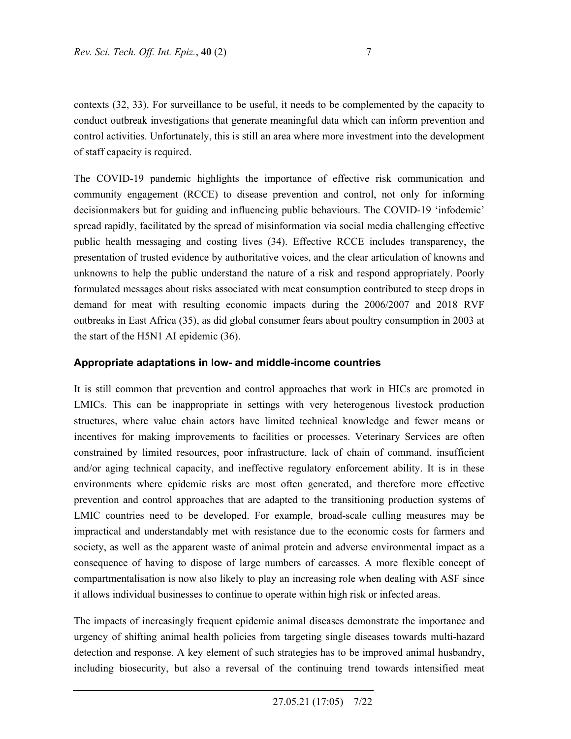contexts (32, 33). For surveillance to be useful, it needs to be complemented by the capacity to conduct outbreak investigations that generate meaningful data which can inform prevention and control activities. Unfortunately, this is still an area where more investment into the development of staff capacity is required.

The COVID-19 pandemic highlights the importance of effective risk communication and community engagement (RCCE) to disease prevention and control, not only for informing decisionmakers but for guiding and influencing public behaviours. The COVID-19 'infodemic' spread rapidly, facilitated by the spread of misinformation via social media challenging effective public health messaging and costing lives (34). Effective RCCE includes transparency, the presentation of trusted evidence by authoritative voices, and the clear articulation of knowns and unknowns to help the public understand the nature of a risk and respond appropriately. Poorly formulated messages about risks associated with meat consumption contributed to steep drops in demand for meat with resulting economic impacts during the 2006/2007 and 2018 RVF outbreaks in East Africa (35), as did global consumer fears about poultry consumption in 2003 at the start of the H5N1 AI epidemic (36).

### **Appropriate adaptations in low- and middle-income countries**

It is still common that prevention and control approaches that work in HICs are promoted in LMICs. This can be inappropriate in settings with very heterogenous livestock production structures, where value chain actors have limited technical knowledge and fewer means or incentives for making improvements to facilities or processes. Veterinary Services are often constrained by limited resources, poor infrastructure, lack of chain of command, insufficient and/or aging technical capacity, and ineffective regulatory enforcement ability. It is in these environments where epidemic risks are most often generated, and therefore more effective prevention and control approaches that are adapted to the transitioning production systems of LMIC countries need to be developed. For example, broad-scale culling measures may be impractical and understandably met with resistance due to the economic costs for farmers and society, as well as the apparent waste of animal protein and adverse environmental impact as a consequence of having to dispose of large numbers of carcasses. A more flexible concept of compartmentalisation is now also likely to play an increasing role when dealing with ASF since it allows individual businesses to continue to operate within high risk or infected areas.

The impacts of increasingly frequent epidemic animal diseases demonstrate the importance and urgency of shifting animal health policies from targeting single diseases towards multi-hazard detection and response. A key element of such strategies has to be improved animal husbandry, including biosecurity, but also a reversal of the continuing trend towards intensified meat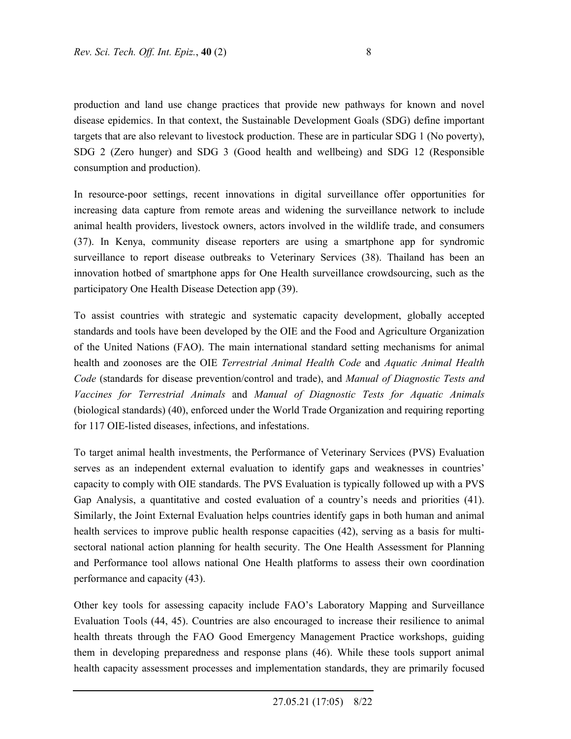production and land use change practices that provide new pathways for known and novel disease epidemics. In that context, the Sustainable Development Goals (SDG) define important targets that are also relevant to livestock production. These are in particular SDG 1 (No poverty), SDG 2 (Zero hunger) and SDG 3 (Good health and wellbeing) and SDG 12 (Responsible consumption and production).

In resource-poor settings, recent innovations in digital surveillance offer opportunities for increasing data capture from remote areas and widening the surveillance network to include animal health providers, livestock owners, actors involved in the wildlife trade, and consumers (37). In Kenya, community disease reporters are using a smartphone app for syndromic surveillance to report disease outbreaks to Veterinary Services (38). Thailand has been an innovation hotbed of smartphone apps for One Health surveillance crowdsourcing, such as the participatory One Health Disease Detection app (39).

To assist countries with strategic and systematic capacity development, globally accepted standards and tools have been developed by the OIE and the Food and Agriculture Organization of the United Nations (FAO). The main international standard setting mechanisms for animal health and zoonoses are the OIE *Terrestrial Animal Health Code* and *Aquatic Animal Health Code* (standards for disease prevention/control and trade), and *Manual of Diagnostic Tests and Vaccines for Terrestrial Animals* and *Manual of Diagnostic Tests for Aquatic Animals* (biological standards) (40), enforced under the World Trade Organization and requiring reporting for 117 OIE-listed diseases, infections, and infestations.

To target animal health investments, the Performance of Veterinary Services (PVS) Evaluation serves as an independent external evaluation to identify gaps and weaknesses in countries' capacity to comply with OIE standards. The PVS Evaluation is typically followed up with a PVS Gap Analysis, a quantitative and costed evaluation of a country's needs and priorities (41). Similarly, the Joint External Evaluation helps countries identify gaps in both human and animal health services to improve public health response capacities (42), serving as a basis for multisectoral national action planning for health security. The One Health Assessment for Planning and Performance tool allows national One Health platforms to assess their own coordination performance and capacity (43).

Other key tools for assessing capacity include FAO's Laboratory Mapping and Surveillance Evaluation Tools (44, 45). Countries are also encouraged to increase their resilience to animal health threats through the FAO Good Emergency Management Practice workshops, guiding them in developing preparedness and response plans (46). While these tools support animal health capacity assessment processes and implementation standards, they are primarily focused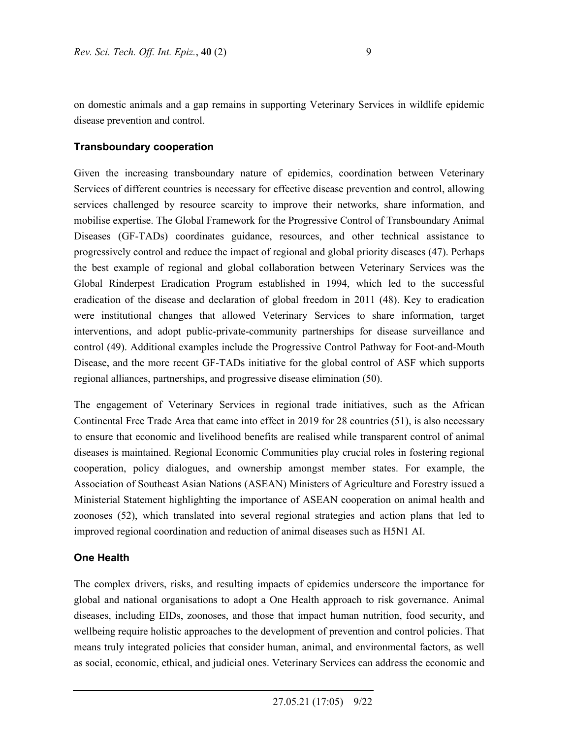on domestic animals and a gap remains in supporting Veterinary Services in wildlife epidemic disease prevention and control.

#### **Transboundary cooperation**

Given the increasing transboundary nature of epidemics, coordination between Veterinary Services of different countries is necessary for effective disease prevention and control, allowing services challenged by resource scarcity to improve their networks, share information, and mobilise expertise. The Global Framework for the Progressive Control of Transboundary Animal Diseases (GF-TADs) coordinates guidance, resources, and other technical assistance to progressively control and reduce the impact of regional and global priority diseases (47). Perhaps the best example of regional and global collaboration between Veterinary Services was the Global Rinderpest Eradication Program established in 1994, which led to the successful eradication of the disease and declaration of global freedom in 2011 (48). Key to eradication were institutional changes that allowed Veterinary Services to share information, target interventions, and adopt public-private-community partnerships for disease surveillance and control (49). Additional examples include the Progressive Control Pathway for Foot-and-Mouth Disease, and the more recent GF-TADs initiative for the global control of ASF which supports regional alliances, partnerships, and progressive disease elimination (50).

The engagement of Veterinary Services in regional trade initiatives, such as the African Continental Free Trade Area that came into effect in 2019 for 28 countries (51), is also necessary to ensure that economic and livelihood benefits are realised while transparent control of animal diseases is maintained. Regional Economic Communities play crucial roles in fostering regional cooperation, policy dialogues, and ownership amongst member states. For example, the Association of Southeast Asian Nations (ASEAN) Ministers of Agriculture and Forestry issued a Ministerial Statement highlighting the importance of ASEAN cooperation on animal health and zoonoses (52), which translated into several regional strategies and action plans that led to improved regional coordination and reduction of animal diseases such as H5N1 AI.

#### **One Health**

The complex drivers, risks, and resulting impacts of epidemics underscore the importance for global and national organisations to adopt a One Health approach to risk governance. Animal diseases, including EIDs, zoonoses, and those that impact human nutrition, food security, and wellbeing require holistic approaches to the development of prevention and control policies. That means truly integrated policies that consider human, animal, and environmental factors, as well as social, economic, ethical, and judicial ones. Veterinary Services can address the economic and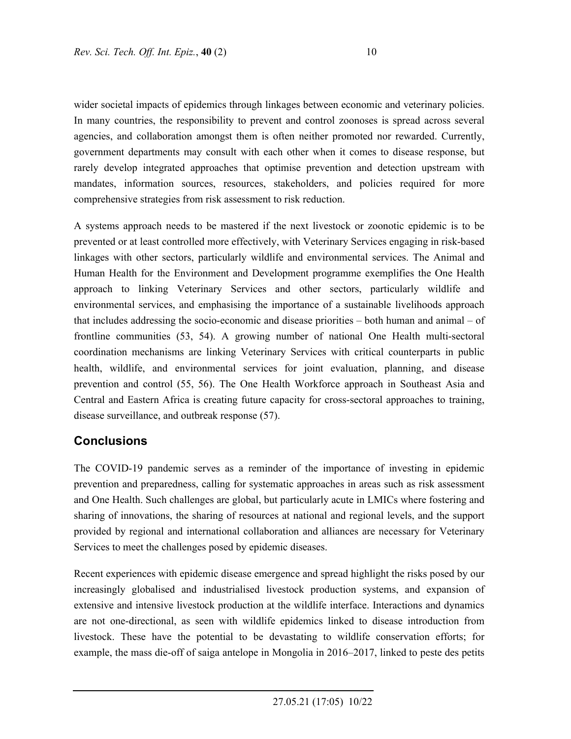wider societal impacts of epidemics through linkages between economic and veterinary policies. In many countries, the responsibility to prevent and control zoonoses is spread across several agencies, and collaboration amongst them is often neither promoted nor rewarded. Currently, government departments may consult with each other when it comes to disease response, but rarely develop integrated approaches that optimise prevention and detection upstream with mandates, information sources, resources, stakeholders, and policies required for more comprehensive strategies from risk assessment to risk reduction.

A systems approach needs to be mastered if the next livestock or zoonotic epidemic is to be prevented or at least controlled more effectively, with Veterinary Services engaging in risk-based linkages with other sectors, particularly wildlife and environmental services. The Animal and Human Health for the Environment and Development programme exemplifies the One Health approach to linking Veterinary Services and other sectors, particularly wildlife and environmental services, and emphasising the importance of a sustainable livelihoods approach that includes addressing the socio-economic and disease priorities – both human and animal – of frontline communities (53, 54). A growing number of national One Health multi-sectoral coordination mechanisms are linking Veterinary Services with critical counterparts in public health, wildlife, and environmental services for joint evaluation, planning, and disease prevention and control (55, 56). The One Health Workforce approach in Southeast Asia and Central and Eastern Africa is creating future capacity for cross-sectoral approaches to training, disease surveillance, and outbreak response (57).

### **Conclusions**

The COVID-19 pandemic serves as a reminder of the importance of investing in epidemic prevention and preparedness, calling for systematic approaches in areas such as risk assessment and One Health. Such challenges are global, but particularly acute in LMICs where fostering and sharing of innovations, the sharing of resources at national and regional levels, and the support provided by regional and international collaboration and alliances are necessary for Veterinary Services to meet the challenges posed by epidemic diseases.

Recent experiences with epidemic disease emergence and spread highlight the risks posed by our increasingly globalised and industrialised livestock production systems, and expansion of extensive and intensive livestock production at the wildlife interface. Interactions and dynamics are not one-directional, as seen with wildlife epidemics linked to disease introduction from livestock. These have the potential to be devastating to wildlife conservation efforts; for example, the mass die-off of saiga antelope in Mongolia in 2016–2017, linked to peste des petits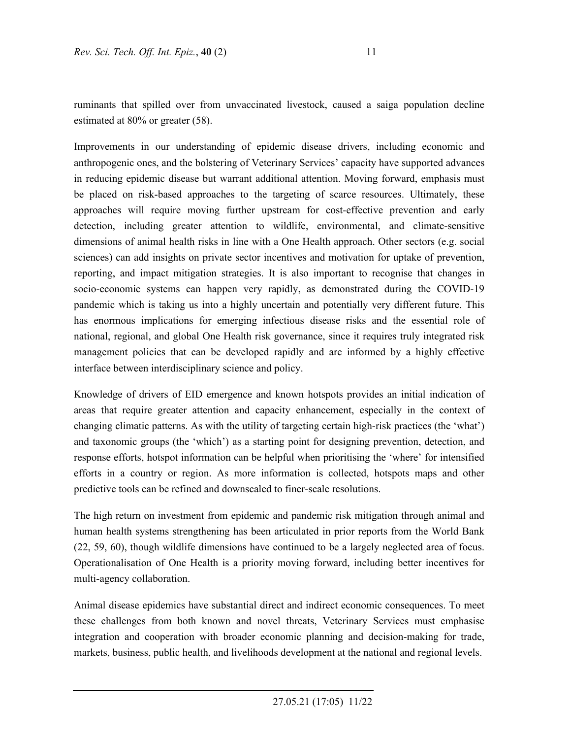ruminants that spilled over from unvaccinated livestock, caused a saiga population decline estimated at 80% or greater (58).

Improvements in our understanding of epidemic disease drivers, including economic and anthropogenic ones, and the bolstering of Veterinary Services' capacity have supported advances in reducing epidemic disease but warrant additional attention. Moving forward, emphasis must be placed on risk-based approaches to the targeting of scarce resources. Ultimately, these approaches will require moving further upstream for cost-effective prevention and early detection, including greater attention to wildlife, environmental, and climate-sensitive dimensions of animal health risks in line with a One Health approach. Other sectors (e.g. social sciences) can add insights on private sector incentives and motivation for uptake of prevention, reporting, and impact mitigation strategies. It is also important to recognise that changes in socio-economic systems can happen very rapidly, as demonstrated during the COVID-19 pandemic which is taking us into a highly uncertain and potentially very different future. This has enormous implications for emerging infectious disease risks and the essential role of national, regional, and global One Health risk governance, since it requires truly integrated risk management policies that can be developed rapidly and are informed by a highly effective interface between interdisciplinary science and policy.

Knowledge of drivers of EID emergence and known hotspots provides an initial indication of areas that require greater attention and capacity enhancement, especially in the context of changing climatic patterns. As with the utility of targeting certain high-risk practices (the 'what') and taxonomic groups (the 'which') as a starting point for designing prevention, detection, and response efforts, hotspot information can be helpful when prioritising the 'where' for intensified efforts in a country or region. As more information is collected, hotspots maps and other predictive tools can be refined and downscaled to finer-scale resolutions.

The high return on investment from epidemic and pandemic risk mitigation through animal and human health systems strengthening has been articulated in prior reports from the World Bank (22, 59, 60), though wildlife dimensions have continued to be a largely neglected area of focus. Operationalisation of One Health is a priority moving forward, including better incentives for multi-agency collaboration.

Animal disease epidemics have substantial direct and indirect economic consequences. To meet these challenges from both known and novel threats, Veterinary Services must emphasise integration and cooperation with broader economic planning and decision-making for trade, markets, business, public health, and livelihoods development at the national and regional levels.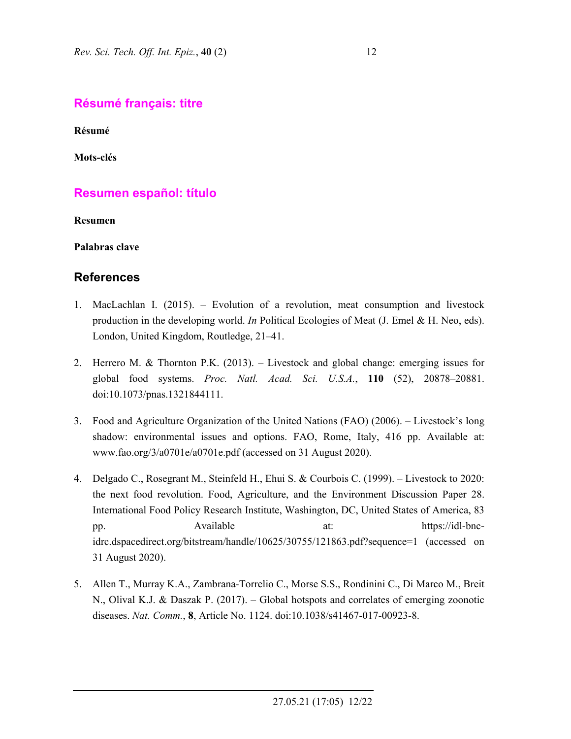## **Résumé français: titre**

**Résumé** 

**Mots-clés** 

## **Resumen español: título**

**Resumen** 

**Palabras clave** 

### **References**

- 1. MacLachlan I. (2015). Evolution of a revolution, meat consumption and livestock production in the developing world. *In* Political Ecologies of Meat (J. Emel & H. Neo, eds). London, United Kingdom, Routledge, 21–41.
- 2. Herrero M. & Thornton P.K. (2013). Livestock and global change: emerging issues for global food systems. *Proc. Natl. Acad. Sci. U.S.A.*, **110** (52), 20878–20881. doi:10.1073/pnas.1321844111.
- 3. Food and Agriculture Organization of the United Nations (FAO) (2006). Livestock's long shadow: environmental issues and options. FAO, Rome, Italy, 416 pp. Available at: www.fao.org/3/a0701e/a0701e.pdf (accessed on 31 August 2020).
- 4. Delgado C., Rosegrant M., Steinfeld H., Ehui S. & Courbois C. (1999). Livestock to 2020: the next food revolution. Food, Agriculture, and the Environment Discussion Paper 28. International Food Policy Research Institute, Washington, DC, United States of America, 83 pp. Available at: https://idl-bncidrc.dspacedirect.org/bitstream/handle/10625/30755/121863.pdf?sequence=1 (accessed on 31 August 2020).
- 5. Allen T., Murray K.A., Zambrana-Torrelio C., Morse S.S., Rondinini C., Di Marco M., Breit N., Olival K.J. & Daszak P. (2017). – Global hotspots and correlates of emerging zoonotic diseases. *Nat. Comm.*, **8**, Article No. 1124. doi:10.1038/s41467-017-00923-8.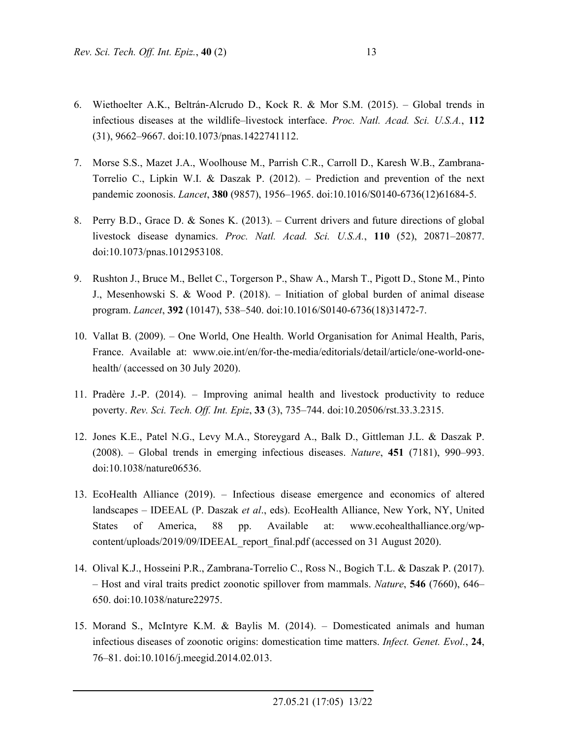- 6. Wiethoelter A.K., Beltrán-Alcrudo D., Kock R. & Mor S.M. (2015). Global trends in infectious diseases at the wildlife–livestock interface. *Proc. Natl. Acad. Sci. U.S.A.*, **112** (31), 9662–9667. doi:10.1073/pnas.1422741112.
- 7. Morse S.S., Mazet J.A., Woolhouse M., Parrish C.R., Carroll D., Karesh W.B., Zambrana-Torrelio C., Lipkin W.I. & Daszak P. (2012). – Prediction and prevention of the next pandemic zoonosis. *Lancet*, **380** (9857), 1956–1965. doi:10.1016/S0140-6736(12)61684-5.
- 8. Perry B.D., Grace D. & Sones K. (2013). Current drivers and future directions of global livestock disease dynamics. *Proc. Natl. Acad. Sci. U.S.A.*, **110** (52), 20871–20877. doi:10.1073/pnas.1012953108.
- 9. Rushton J., Bruce M., Bellet C., Torgerson P., Shaw A., Marsh T., Pigott D., Stone M., Pinto J., Mesenhowski S. & Wood P. (2018). – Initiation of global burden of animal disease program. *Lancet*, **392** (10147), 538–540. doi:10.1016/S0140-6736(18)31472-7.
- 10. Vallat B. (2009). One World, One Health. World Organisation for Animal Health, Paris, France. Available at: www.oie.int/en/for-the-media/editorials/detail/article/one-world-onehealth/ (accessed on 30 July 2020).
- 11. Pradère J.-P. (2014). Improving animal health and livestock productivity to reduce poverty. *Rev. Sci. Tech. Off. Int. Epiz*, **33** (3), 735–744. doi:10.20506/rst.33.3.2315.
- 12. Jones K.E., Patel N.G., Levy M.A., Storeygard A., Balk D., Gittleman J.L. & Daszak P. (2008). – Global trends in emerging infectious diseases. *Nature*, **451** (7181), 990–993. doi:10.1038/nature06536.
- 13. EcoHealth Alliance (2019). Infectious disease emergence and economics of altered landscapes – IDEEAL (P. Daszak *et al*., eds). EcoHealth Alliance, New York, NY, United States of America, 88 pp. Available at: www.ecohealthalliance.org/wpcontent/uploads/2019/09/IDEEAL\_report\_final.pdf (accessed on 31 August 2020).
- 14. Olival K.J., Hosseini P.R., Zambrana-Torrelio C., Ross N., Bogich T.L. & Daszak P. (2017). – Host and viral traits predict zoonotic spillover from mammals. *Nature*, **546** (7660), 646– 650. doi:10.1038/nature22975.
- 15. Morand S., McIntyre K.M. & Baylis M. (2014). Domesticated animals and human infectious diseases of zoonotic origins: domestication time matters. *Infect. Genet. Evol.*, **24**, 76–81. doi:10.1016/j.meegid.2014.02.013.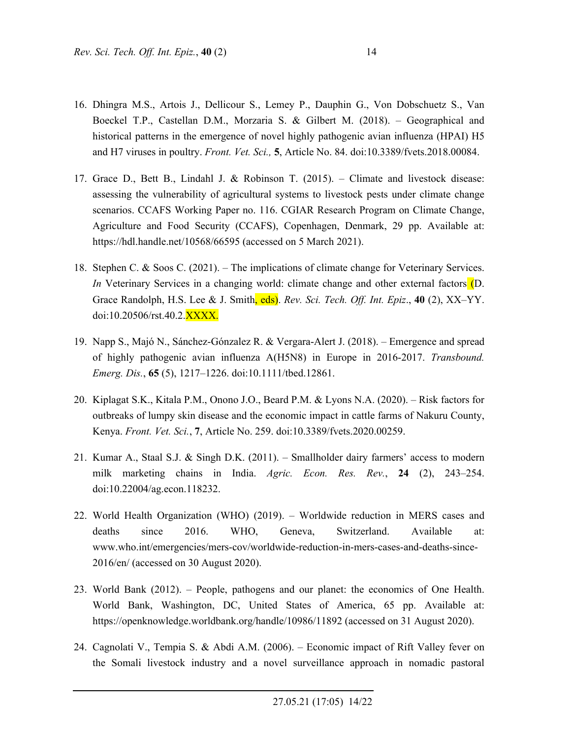- 16. Dhingra M.S., Artois J., Dellicour S., Lemey P., Dauphin G., Von Dobschuetz S., Van Boeckel T.P., Castellan D.M., Morzaria S. & Gilbert M. (2018). – Geographical and historical patterns in the emergence of novel highly pathogenic avian influenza (HPAI) H5 and H7 viruses in poultry. *Front. Vet. Sci.,* **5**, Article No. 84. doi:10.3389/fvets.2018.00084.
- 17. Grace D., Bett B., Lindahl J. & Robinson T. (2015). Climate and livestock disease: assessing the vulnerability of agricultural systems to livestock pests under climate change scenarios. CCAFS Working Paper no. 116. CGIAR Research Program on Climate Change, Agriculture and Food Security (CCAFS), Copenhagen, Denmark, 29 pp. Available at: https://hdl.handle.net/10568/66595 (accessed on 5 March 2021).
- 18. Stephen C. & Soos C. (2021). The implications of climate change for Veterinary Services. *In* Veterinary Services in a changing world: climate change and other external factors (D. Grace Randolph, H.S. Lee & J. Smith, eds). *Rev. Sci. Tech. Off. Int. Epiz*., **40** (2), XX–YY. doi:10.20506/rst.40.2.XXXX.
- 19. Napp S., Majó N., Sánchez‐Gónzalez R. & Vergara‐Alert J. (2018). Emergence and spread of highly pathogenic avian influenza A(H5N8) in Europe in 2016‐2017. *Transbound. Emerg. Dis.*, **65** (5), 1217–1226. doi:10.1111/tbed.12861.
- 20. Kiplagat S.K., Kitala P.M., Onono J.O., Beard P.M. & Lyons N.A. (2020). Risk factors for outbreaks of lumpy skin disease and the economic impact in cattle farms of Nakuru County, Kenya. *Front. Vet. Sci.*, **7**, Article No. 259. doi:10.3389/fvets.2020.00259.
- 21. Kumar A., Staal S.J. & Singh D.K. (2011). Smallholder dairy farmers' access to modern milk marketing chains in India. *Agric. Econ. Res. Rev.*, **24** (2), 243–254. doi:10.22004/ag.econ.118232.
- 22. World Health Organization (WHO) (2019). Worldwide reduction in MERS cases and deaths since 2016. WHO, Geneva, Switzerland. Available at: www.who.int/emergencies/mers-cov/worldwide-reduction-in-mers-cases-and-deaths-since-2016/en/ (accessed on 30 August 2020).
- 23. World Bank (2012). People, pathogens and our planet: the economics of One Health. World Bank, Washington, DC, United States of America, 65 pp. Available at: https://openknowledge.worldbank.org/handle/10986/11892 (accessed on 31 August 2020).
- 24. Cagnolati V., Tempia S. & Abdi A.M. (2006). Economic impact of Rift Valley fever on the Somali livestock industry and a novel surveillance approach in nomadic pastoral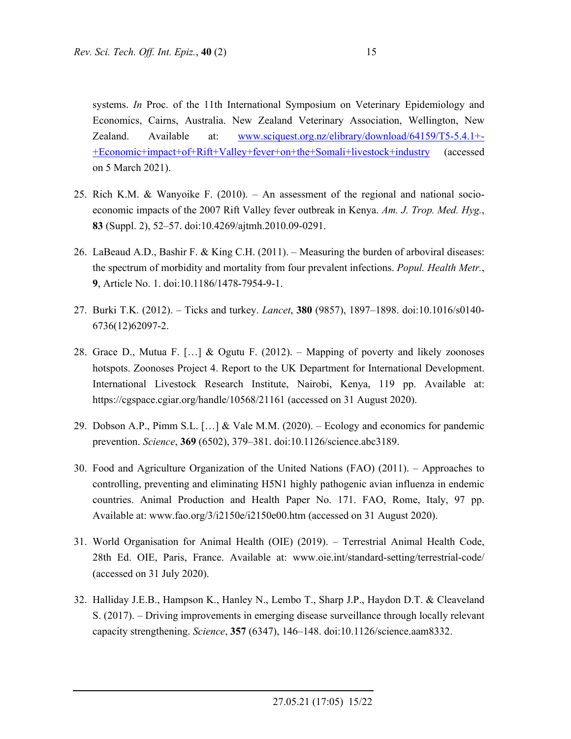systems. *In* Proc. of the 11th International Symposium on Veterinary Epidemiology and Economics, Cairns, Australia. New Zealand Veterinary Association, Wellington, New Zealand. Available at: www.sciquest.org.nz/elibrary/download/64159/T5-5.4.1+- +Economic+impact+of+Rift+Valley+fever+on+the+Somali+livestock+industry (accessed on 5 March 2021).

- 25. Rich K.M. & Wanyoike F. (2010). An assessment of the regional and national socioeconomic impacts of the 2007 Rift Valley fever outbreak in Kenya. *Am. J. Trop. Med. Hyg.*, **83** (Suppl. 2), 52–57. doi:10.4269/ajtmh.2010.09-0291.
- 26. LaBeaud A.D., Bashir F. & King C.H. (2011). Measuring the burden of arboviral diseases: the spectrum of morbidity and mortality from four prevalent infections. *Popul. Health Metr.*, **9**, Article No. 1. doi:10.1186/1478-7954-9-1.
- 27. Burki T.K. (2012). Ticks and turkey. *Lancet*, **380** (9857), 1897–1898. doi:10.1016/s0140- 6736(12)62097-2.
- 28. Grace D., Mutua F.  $[\dots]$  & Ogutu F. (2012). Mapping of poverty and likely zoonoses hotspots. Zoonoses Project 4. Report to the UK Department for International Development. International Livestock Research Institute, Nairobi, Kenya, 119 pp. Available at: https://cgspace.cgiar.org/handle/10568/21161 (accessed on 31 August 2020).
- 29. Dobson A.P., Pimm S.L. […] & Vale M.M. (2020). Ecology and economics for pandemic prevention. *Science*, **369** (6502), 379–381. doi:10.1126/science.abc3189.
- 30. Food and Agriculture Organization of the United Nations (FAO) (2011). Approaches to controlling, preventing and eliminating H5N1 highly pathogenic avian influenza in endemic countries. Animal Production and Health Paper No. 171. FAO, Rome, Italy, 97 pp. Available at: www.fao.org/3/i2150e/i2150e00.htm (accessed on 31 August 2020).
- 31. World Organisation for Animal Health (OIE) (2019). Terrestrial Animal Health Code, 28th Ed. OIE, Paris, France. Available at: www.oie.int/standard-setting/terrestrial-code/ (accessed on 31 July 2020).
- 32. Halliday J.E.B., Hampson K., Hanley N., Lembo T., Sharp J.P., Haydon D.T. & Cleaveland S. (2017). – Driving improvements in emerging disease surveillance through locally relevant capacity strengthening. *Science*, **357** (6347), 146–148. doi:10.1126/science.aam8332.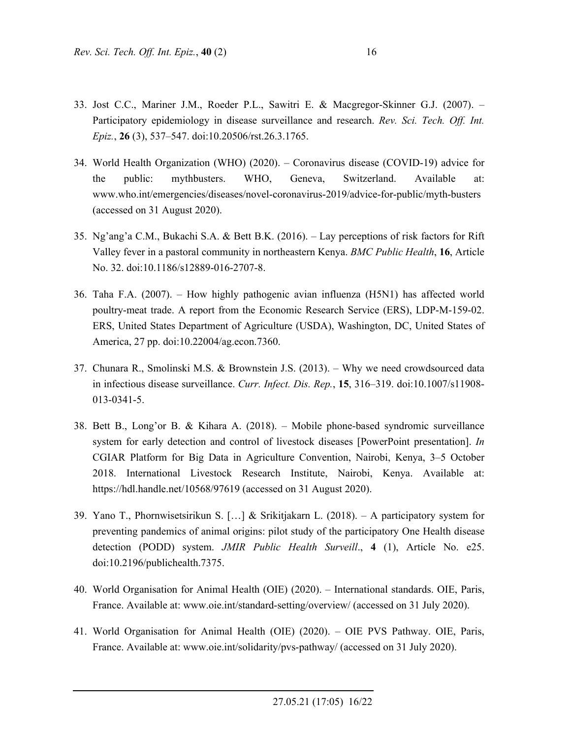- 33. Jost C.C., Mariner J.M., Roeder P.L., Sawitri E. & Macgregor-Skinner G.J. (2007). Participatory epidemiology in disease surveillance and research. *Rev. Sci. Tech. Off. Int. Epiz.*, **26** (3), 537–547. doi:10.20506/rst.26.3.1765.
- 34. World Health Organization (WHO) (2020). Coronavirus disease (COVID-19) advice for the public: mythbusters. WHO, Geneva, Switzerland. Available at: www.who.int/emergencies/diseases/novel-coronavirus-2019/advice-for-public/myth-busters (accessed on 31 August 2020).
- 35. Ng'ang'a C.M., Bukachi S.A. & Bett B.K. (2016). Lay perceptions of risk factors for Rift Valley fever in a pastoral community in northeastern Kenya. *BMC Public Health*, **16**, Article No. 32. doi:10.1186/s12889-016-2707-8.
- 36. Taha F.A. (2007). How highly pathogenic avian influenza (H5N1) has affected world poultry-meat trade. A report from the Economic Research Service (ERS), LDP-M-159-02. ERS, United States Department of Agriculture (USDA), Washington, DC, United States of America, 27 pp. doi:10.22004/ag.econ.7360.
- 37. Chunara R., Smolinski M.S. & Brownstein J.S. (2013). Why we need crowdsourced data in infectious disease surveillance. *Curr. Infect. Dis. Rep.*, **15**, 316–319. doi:10.1007/s11908- 013-0341-5.
- 38. Bett B., Long'or B. & Kihara A. (2018). Mobile phone-based syndromic surveillance system for early detection and control of livestock diseases [PowerPoint presentation]. *In*  CGIAR Platform for Big Data in Agriculture Convention, Nairobi, Kenya, 3–5 October 2018. International Livestock Research Institute, Nairobi, Kenya. Available at: https://hdl.handle.net/10568/97619 (accessed on 31 August 2020).
- 39. Yano T., Phornwisetsirikun S. […] & Srikitjakarn L. (2018). A participatory system for preventing pandemics of animal origins: pilot study of the participatory One Health disease detection (PODD) system. *JMIR Public Health Surveill*., **4** (1), Article No. e25. doi:10.2196/publichealth.7375.
- 40. World Organisation for Animal Health (OIE) (2020). International standards. OIE, Paris, France. Available at: www.oie.int/standard-setting/overview/ (accessed on 31 July 2020).
- 41. World Organisation for Animal Health (OIE) (2020). OIE PVS Pathway. OIE, Paris, France. Available at: www.oie.int/solidarity/pvs-pathway/ (accessed on 31 July 2020).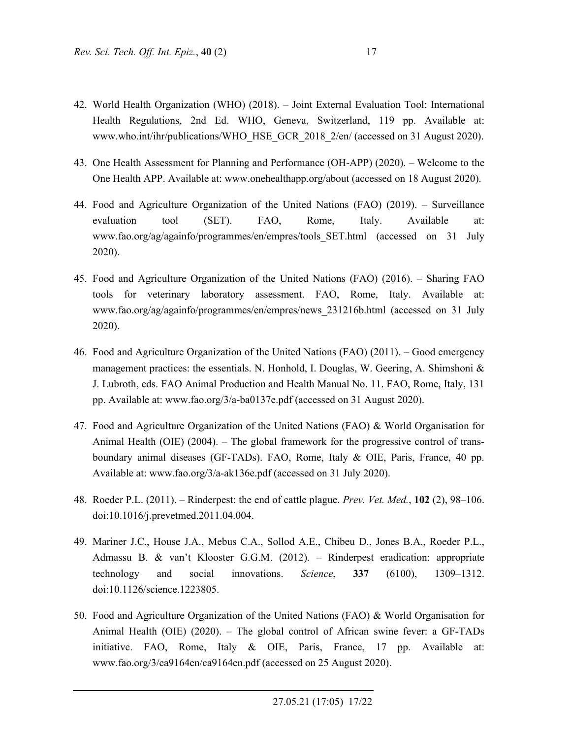- 42. World Health Organization (WHO) (2018). Joint External Evaluation Tool: International Health Regulations, 2nd Ed. WHO, Geneva, Switzerland, 119 pp. Available at: www.who.int/ihr/publications/WHO\_HSE\_GCR\_2018\_2/en/ (accessed on 31 August 2020).
- 43. One Health Assessment for Planning and Performance (OH-APP) (2020). Welcome to the One Health APP. Available at: www.onehealthapp.org/about (accessed on 18 August 2020).
- 44. Food and Agriculture Organization of the United Nations (FAO) (2019). Surveillance evaluation tool (SET). FAO, Rome, Italy. Available at: www.fao.org/ag/againfo/programmes/en/empres/tools\_SET.html (accessed on 31 July 2020).
- 45. Food and Agriculture Organization of the United Nations (FAO) (2016). Sharing FAO tools for veterinary laboratory assessment. FAO, Rome, Italy. Available at: www.fao.org/ag/againfo/programmes/en/empres/news\_231216b.html (accessed on 31 July 2020).
- 46. Food and Agriculture Organization of the United Nations (FAO) (2011). Good emergency management practices: the essentials. N. Honhold, I. Douglas, W. Geering, A. Shimshoni & J. Lubroth, eds. FAO Animal Production and Health Manual No. 11. FAO, Rome, Italy, 131 pp. Available at: www.fao.org/3/a-ba0137e.pdf (accessed on 31 August 2020).
- 47. Food and Agriculture Organization of the United Nations (FAO) & World Organisation for Animal Health (OIE) (2004). – The global framework for the progressive control of transboundary animal diseases (GF-TADs). FAO, Rome, Italy & OIE, Paris, France, 40 pp. Available at: www.fao.org/3/a-ak136e.pdf (accessed on 31 July 2020).
- 48. Roeder P.L. (2011). Rinderpest: the end of cattle plague. *Prev. Vet. Med.*, **102** (2), 98–106. doi:10.1016/j.prevetmed.2011.04.004.
- 49. Mariner J.C., House J.A., Mebus C.A., Sollod A.E., Chibeu D., Jones B.A., Roeder P.L., Admassu B. & van't Klooster G.G.M. (2012). – Rinderpest eradication: appropriate technology and social innovations. *Science*, **337** (6100), 1309–1312. doi:10.1126/science.1223805.
- 50. Food and Agriculture Organization of the United Nations (FAO) & World Organisation for Animal Health (OIE) (2020). – The global control of African swine fever: a GF-TADs initiative. FAO, Rome, Italy & OIE, Paris, France, 17 pp. Available at: www.fao.org/3/ca9164en/ca9164en.pdf (accessed on 25 August 2020).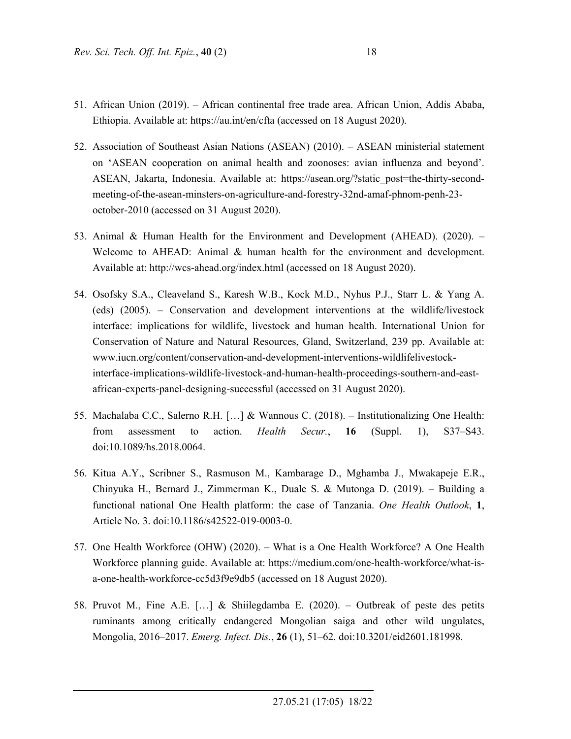- 51. African Union (2019). African continental free trade area. African Union, Addis Ababa, Ethiopia. Available at: https://au.int/en/cfta (accessed on 18 August 2020).
- 52. Association of Southeast Asian Nations (ASEAN) (2010). ASEAN ministerial statement on 'ASEAN cooperation on animal health and zoonoses: avian influenza and beyond'. ASEAN, Jakarta, Indonesia. Available at: https://asean.org/?static\_post=the-thirty-secondmeeting-of-the-asean-minsters-on-agriculture-and-forestry-32nd-amaf-phnom-penh-23 october-2010 (accessed on 31 August 2020).
- 53. Animal & Human Health for the Environment and Development (AHEAD). (2020). Welcome to AHEAD: Animal & human health for the environment and development. Available at: http://wcs-ahead.org/index.html (accessed on 18 August 2020).
- 54. Osofsky S.A., Cleaveland S., Karesh W.B., Kock M.D., Nyhus P.J., Starr L. & Yang A. (eds) (2005). – Conservation and development interventions at the wildlife/livestock interface: implications for wildlife, livestock and human health. International Union for Conservation of Nature and Natural Resources, Gland, Switzerland, 239 pp. Available at: www.iucn.org/content/conservation-and-development-interventions-wildlifelivestockinterface-implications-wildlife-livestock-and-human-health-proceedings-southern-and-eastafrican-experts-panel-designing-successful (accessed on 31 August 2020).
- 55. Machalaba C.C., Salerno R.H. […] & Wannous C. (2018). Institutionalizing One Health: from assessment to action. *Health Secur.*, **16** (Suppl. 1), S37–S43. doi:10.1089/hs.2018.0064.
- 56. Kitua A.Y., Scribner S., Rasmuson M., Kambarage D., Mghamba J., Mwakapeje E.R., Chinyuka H., Bernard J., Zimmerman K., Duale S. & Mutonga D. (2019). – Building a functional national One Health platform: the case of Tanzania. *One Health Outlook*, **1**, Article No. 3. doi:10.1186/s42522-019-0003-0.
- 57. One Health Workforce (OHW) (2020). What is a One Health Workforce? A One Health Workforce planning guide. Available at: https://medium.com/one-health-workforce/what-isa-one-health-workforce-cc5d3f9e9db5 (accessed on 18 August 2020).
- 58. Pruvot M., Fine A.E. […] & Shiilegdamba E. (2020). Outbreak of peste des petits ruminants among critically endangered Mongolian saiga and other wild ungulates, Mongolia, 2016–2017. *Emerg. Infect. Dis.*, **26** (1), 51–62. doi:10.3201/eid2601.181998.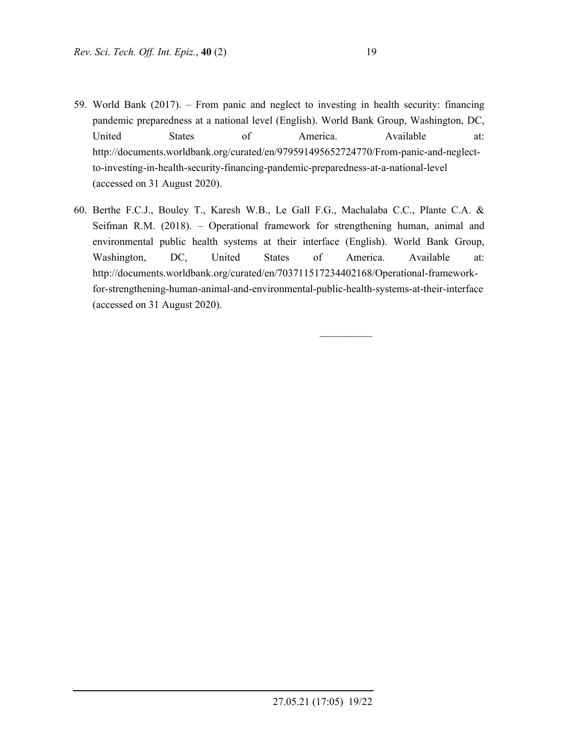- 59. World Bank (2017). From panic and neglect to investing in health security: financing pandemic preparedness at a national level (English). World Bank Group, Washington, DC, United States of America. Available at: http://documents.worldbank.org/curated/en/979591495652724770/From-panic-and-neglectto-investing-in-health-security-financing-pandemic-preparedness-at-a-national-level (accessed on 31 August 2020).
- 60. Berthe F.C.J., Bouley T., Karesh W.B., Le Gall F.G., Machalaba C.C., Plante C.A. & Seifman R.M. (2018). – Operational framework for strengthening human, animal and environmental public health systems at their interface (English). World Bank Group, Washington, DC, United States of America. Available at: http://documents.worldbank.org/curated/en/703711517234402168/Operational-frameworkfor-strengthening-human-animal-and-environmental-public-health-systems-at-their-interface (accessed on 31 August 2020).

 $\frac{1}{2}$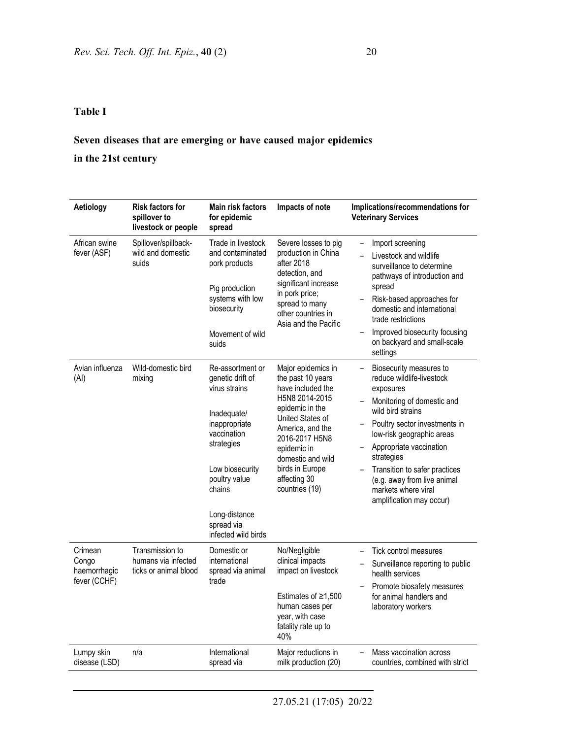### **Table I**

## **Seven diseases that are emerging or have caused major epidemics**

**in the 21st century** 

| Aetiology                                        | <b>Risk factors for</b><br>spillover to<br>livestock or people  | <b>Main risk factors</b><br>for epidemic<br>spread                                                                                                                                                                     | Impacts of note                                                                                                                                                                                                                                      | Implications/recommendations for<br><b>Veterinary Services</b>                                                                                                                                                                                                                                                                                 |
|--------------------------------------------------|-----------------------------------------------------------------|------------------------------------------------------------------------------------------------------------------------------------------------------------------------------------------------------------------------|------------------------------------------------------------------------------------------------------------------------------------------------------------------------------------------------------------------------------------------------------|------------------------------------------------------------------------------------------------------------------------------------------------------------------------------------------------------------------------------------------------------------------------------------------------------------------------------------------------|
| African swine<br>fever (ASF)                     | Spillover/spillback-<br>wild and domestic<br>suids              | Trade in livestock<br>and contaminated<br>pork products<br>Pig production<br>systems with low<br>biosecurity<br>Movement of wild<br>suids                                                                              | Severe losses to pig<br>production in China<br>after 2018<br>detection, and<br>significant increase<br>in pork price;<br>spread to many<br>other countries in<br>Asia and the Pacific                                                                | Import screening<br>Livestock and wildlife<br>surveillance to determine<br>pathways of introduction and<br>spread<br>Risk-based approaches for<br>domestic and international<br>trade restrictions<br>Improved biosecurity focusing<br>on backyard and small-scale<br>settings                                                                 |
| Avian influenza<br>(AI)                          | Wild-domestic bird<br>mixing                                    | Re-assortment or<br>genetic drift of<br>virus strains<br>Inadequate/<br>inappropriate<br>vaccination<br>strategies<br>Low biosecurity<br>poultry value<br>chains<br>Long-distance<br>spread via<br>infected wild birds | Major epidemics in<br>the past 10 years<br>have included the<br>H5N8 2014-2015<br>epidemic in the<br>United States of<br>America, and the<br>2016-2017 H5N8<br>epidemic in<br>domestic and wild<br>birds in Europe<br>affecting 30<br>countries (19) | Biosecurity measures to<br>reduce wildlife-livestock<br>exposures<br>Monitoring of domestic and<br>wild bird strains<br>Poultry sector investments in<br>low-risk geographic areas<br>Appropriate vaccination<br>strategies<br>Transition to safer practices<br>(e.g. away from live animal<br>markets where viral<br>amplification may occur) |
| Crimean<br>Congo<br>haemorrhagic<br>fever (CCHF) | Transmission to<br>humans via infected<br>ticks or animal blood | Domestic or<br>international<br>spread via animal<br>trade                                                                                                                                                             | No/Negligible<br>clinical impacts<br>impact on livestock<br>Estimates of $\geq 1,500$<br>human cases per<br>year, with case<br>fatality rate up to<br>40%                                                                                            | Tick control measures<br>Surveillance reporting to public<br>health services<br>Promote biosafety measures<br>for animal handlers and<br>laboratory workers                                                                                                                                                                                    |
| Lumpy skin<br>disease (LSD)                      | n/a                                                             | International<br>spread via                                                                                                                                                                                            | Major reductions in<br>milk production (20)                                                                                                                                                                                                          | Mass vaccination across<br>countries, combined with strict                                                                                                                                                                                                                                                                                     |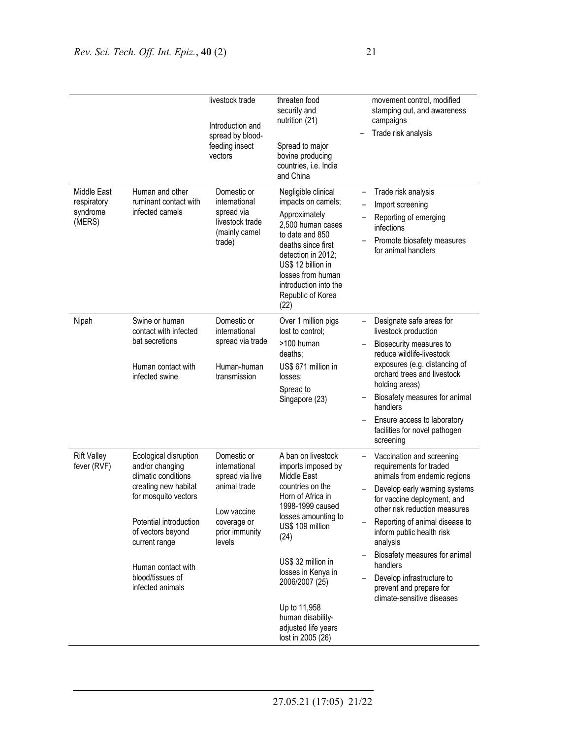|                                                  |                                                                                                                                                                                                                                               | livestock trade<br>Introduction and<br>spread by blood-<br>feeding insect<br>vectors                                      | threaten food<br>security and<br>nutrition (21)<br>Spread to major<br>bovine producing<br>countries, i.e. India<br>and China                                                                                                                                                                                                  | movement control, modified<br>stamping out, and awareness<br>campaigns<br>Trade risk analysis                                                                                                                                                                                                                                                                                                       |
|--------------------------------------------------|-----------------------------------------------------------------------------------------------------------------------------------------------------------------------------------------------------------------------------------------------|---------------------------------------------------------------------------------------------------------------------------|-------------------------------------------------------------------------------------------------------------------------------------------------------------------------------------------------------------------------------------------------------------------------------------------------------------------------------|-----------------------------------------------------------------------------------------------------------------------------------------------------------------------------------------------------------------------------------------------------------------------------------------------------------------------------------------------------------------------------------------------------|
| Middle East<br>respiratory<br>syndrome<br>(MERS) | Human and other<br>ruminant contact with<br>infected camels                                                                                                                                                                                   | Domestic or<br>international<br>spread via<br>livestock trade<br>(mainly camel<br>trade)                                  | Negligible clinical<br>$\overline{\phantom{0}}$<br>impacts on camels;<br>Approximately<br>2.500 human cases<br>to date and 850<br>deaths since first<br>detection in 2012;<br>US\$ 12 billion in<br>losses from human<br>introduction into the<br>Republic of Korea<br>(22)                                                   | Trade risk analysis<br>Import screening<br>Reporting of emerging<br>infections<br>Promote biosafety measures<br>for animal handlers                                                                                                                                                                                                                                                                 |
| Nipah                                            | Swine or human<br>contact with infected<br>bat secretions<br>Human contact with<br>infected swine                                                                                                                                             | Domestic or<br>international<br>spread via trade<br>Human-human<br>transmission                                           | Over 1 million pigs<br>lost to control;<br>>100 human<br>deaths;<br>US\$ 671 million in<br>losses:<br>Spread to<br>Singapore (23)                                                                                                                                                                                             | Designate safe areas for<br>livestock production<br>Biosecurity measures to<br>reduce wildlife-livestock<br>exposures (e.g. distancing of<br>orchard trees and livestock<br>holding areas)<br>Biosafety measures for animal<br>handlers<br>Ensure access to laboratory<br>facilities for novel pathogen<br>screening                                                                                |
| <b>Rift Valley</b><br>fever (RVF)                | Ecological disruption<br>and/or changing<br>climatic conditions<br>creating new habitat<br>for mosquito vectors<br>Potential introduction<br>of vectors beyond<br>current range<br>Human contact with<br>blood/tissues of<br>infected animals | Domestic or<br>international<br>spread via live<br>animal trade<br>Low vaccine<br>coverage or<br>prior immunity<br>levels | A ban on livestock<br>imports imposed by<br><b>Middle East</b><br>countries on the<br>Horn of Africa in<br>1998-1999 caused<br>losses amounting to<br>US\$ 109 million<br>(24)<br>US\$ 32 million in<br>losses in Kenya in<br>2006/2007 (25)<br>Up to 11,958<br>human disability-<br>adjusted life years<br>lost in 2005 (26) | Vaccination and screening<br>requirements for traded<br>animals from endemic regions<br>Develop early warning systems<br>for vaccine deployment, and<br>other risk reduction measures<br>Reporting of animal disease to<br>inform public health risk<br>analysis<br>Biosafety measures for animal<br>handlers<br>Develop infrastructure to<br>prevent and prepare for<br>climate-sensitive diseases |